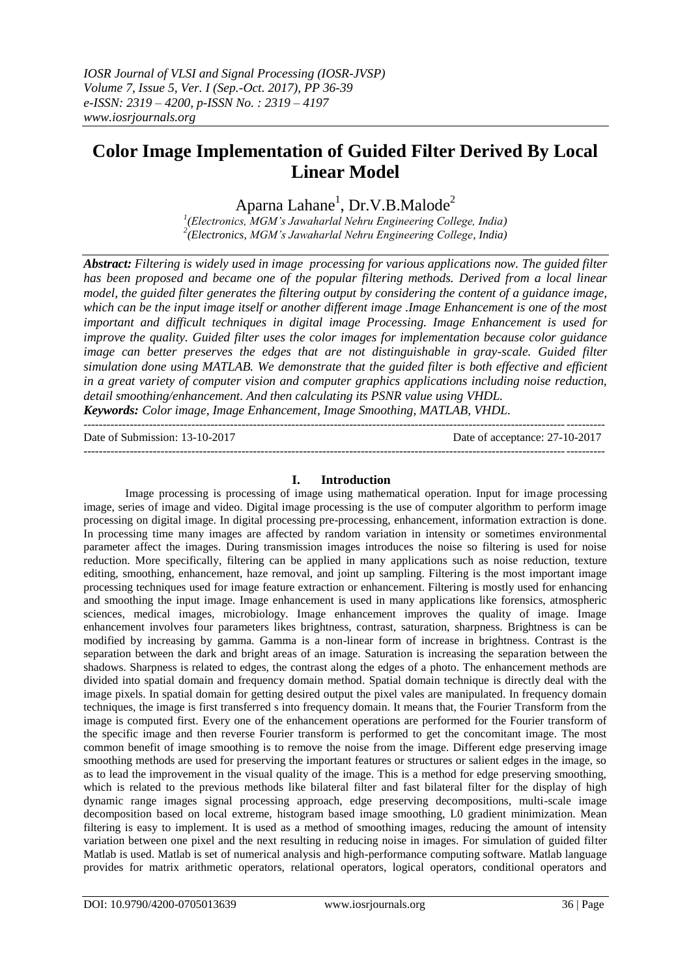# **Color Image Implementation of Guided Filter Derived By Local Linear Model**

Aparna Lahane<sup>1</sup>, Dr.V.B.Malode<sup>2</sup>

*1 (Electronics, MGM's Jawaharlal Nehru Engineering College, India) 2 (Electronics, MGM's Jawaharlal Nehru Engineering College, India)*

*Abstract: Filtering is widely used in image processing for various applications now. The guided filter has been proposed and became one of the popular filtering methods. Derived from a local linear model, the guided filter generates the filtering output by considering the content of a guidance image, which can be the input image itself or another different image .Image Enhancement is one of the most important and difficult techniques in digital image Processing. Image Enhancement is used for improve the quality. Guided filter uses the color images for implementation because color guidance image can better preserves the edges that are not distinguishable in gray-scale. Guided filter simulation done using MATLAB. We demonstrate that the guided filter is both effective and efficient in a great variety of computer vision and computer graphics applications including noise reduction, detail smoothing/enhancement. And then calculating its PSNR value using VHDL. Keywords: Color image, Image Enhancement, Image Smoothing, MATLAB, VHDL.*

---------------------------------------------------------------------------------------------------------------------------------------

---------------------------------------------------------------------------------------------------------------------------------------

Date of Submission: 13-10-2017 Date of acceptance: 27-10-2017

### **I. Introduction**

Image processing is processing of image using mathematical operation. Input for image processing image, series of image and video. Digital image processing is the use of computer algorithm to perform image processing on digital image. In digital processing pre-processing, enhancement, information extraction is done. In processing time many images are affected by random variation in intensity or sometimes environmental parameter affect the images. During transmission images introduces the noise so filtering is used for noise reduction. More specifically, filtering can be applied in many applications such as noise reduction, texture editing, smoothing, enhancement, haze removal, and joint up sampling. Filtering is the most important image processing techniques used for image feature extraction or enhancement. Filtering is mostly used for enhancing and smoothing the input image. Image enhancement is used in many applications like forensics, atmospheric sciences, medical images, microbiology. Image enhancement improves the quality of image. Image enhancement involves four parameters likes brightness, contrast, saturation, sharpness. Brightness is can be modified by increasing by gamma. Gamma is a non-linear form of increase in brightness. Contrast is the separation between the dark and bright areas of an image. Saturation is increasing the separation between the shadows. Sharpness is related to edges, the contrast along the edges of a photo. The enhancement methods are divided into spatial domain and frequency domain method. Spatial domain technique is directly deal with the image pixels. In spatial domain for getting desired output the pixel vales are manipulated. In frequency domain techniques, the image is first transferred s into frequency domain. It means that, the Fourier Transform from the image is computed first. Every one of the enhancement operations are performed for the Fourier transform of the specific image and then reverse Fourier transform is performed to get the concomitant image. The most common benefit of image smoothing is to remove the noise from the image. Different edge preserving image smoothing methods are used for preserving the important features or structures or salient edges in the image, so as to lead the improvement in the visual quality of the image. This is a method for edge preserving smoothing, which is related to the previous methods like bilateral filter and fast bilateral filter for the display of high dynamic range images signal processing approach, edge preserving decompositions, multi-scale image decomposition based on local extreme, histogram based image smoothing, L0 gradient minimization. Mean filtering is easy to implement. It is used as a method of smoothing images, reducing the amount of intensity variation between one pixel and the next resulting in reducing noise in images. For simulation of guided filter Matlab is used. Matlab is set of numerical analysis and high-performance computing software. Matlab language provides for matrix arithmetic operators, relational operators, logical operators, conditional operators and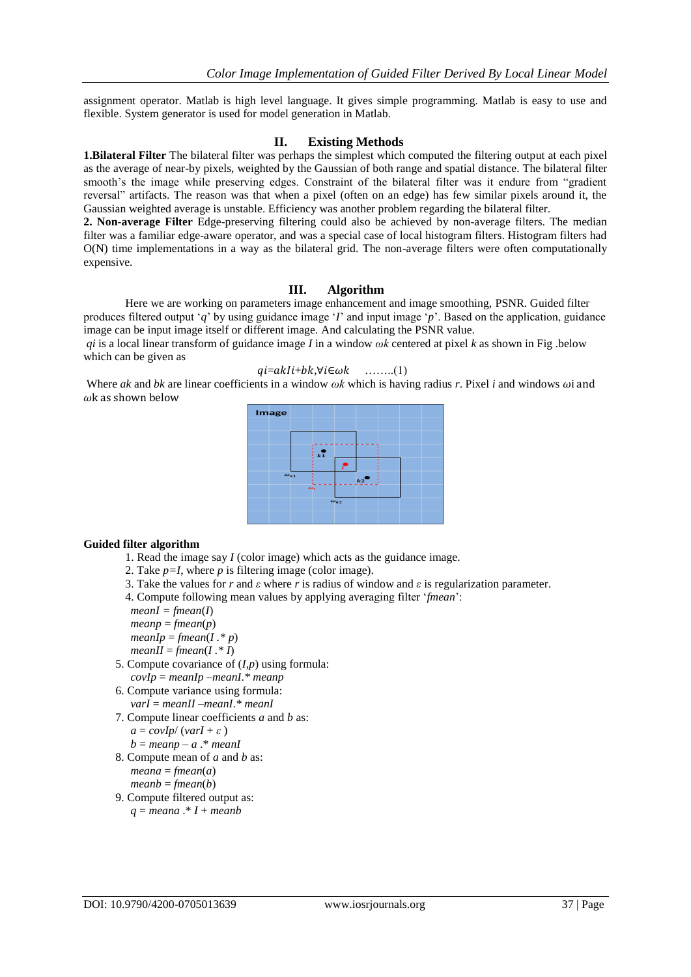assignment operator. Matlab is high level language. It gives simple programming. Matlab is easy to use and flexible. System generator is used for model generation in Matlab.

### **II. Existing Methods**

**1.Bilateral Filter** The bilateral filter was perhaps the simplest which computed the filtering output at each pixel as the average of near-by pixels, weighted by the Gaussian of both range and spatial distance. The bilateral filter smooth's the image while preserving edges. Constraint of the bilateral filter was it endure from "gradient" reversal" artifacts. The reason was that when a pixel (often on an edge) has few similar pixels around it, the Gaussian weighted average is unstable. Efficiency was another problem regarding the bilateral filter.

**2. Non-average Filter** Edge-preserving filtering could also be achieved by non-average filters. The median filter was a familiar edge-aware operator, and was a special case of local histogram filters. Histogram filters had O(N) time implementations in a way as the bilateral grid. The non-average filters were often computationally expensive.

#### **III. Algorithm**

Here we are working on parameters image enhancement and image smoothing, PSNR. Guided filter produces filtered output "*q*" by using guidance image "*I*" and input image "*p*". Based on the application, guidance image can be input image itself or different image. And calculating the PSNR value.

*qi* is a local linear transform of guidance image *I* in a window *ωk* centered at pixel *k* as shown in Fig .below which can be given as

 $qi=akI\rightarrow\negthinspace\negthinspace ik$  ........(1)

Where *ak* and *bk* are linear coefficients in a window  $\omega k$  which is having radius *r*. Pixel *i* and windows  $\omega i$  and  $\omega$ k as shown below



### **Guided filter algorithm**

- 1. Read the image say *I* (color image) which acts as the guidance image.
- 2. Take  $p=I$ , where  $p$  is filtering image (color image).
- 3. Take the values for *r* and *ε* where *r* is radius of window and *ε* is regularization parameter.
- 4. Compute following mean values by applying averaging filter "*fmean*":

*meanI = fmean*(*I*)  $meanp = \text{fmean}(p)$ 

 $meanIp = \text{fmean}(I \cdot * p)$  $meanII = \{mean(I, *I)$ 

- 5. Compute covariance of (*I,p*) using formula: *covIp* = *meanIp* –*meanI*.*\* meanp*
- 6. Compute variance using formula: *varI* = *meanII* –*meanI*.*\* meanI*
- 7. Compute linear coefficients *a* and *b* as:  $a = \frac{covIp}{\left( varI + \varepsilon \right)}$ 
	- $b = meanp a$   $\cdot^*$  *meanI*
- 8. Compute mean of *a* and *b* as:  $meana = \frac{f}{a}$  $meanb = \text{fmean}(b)$
- 9. Compute filtered output as: *q* = *meana* .\* *I* + *meanb*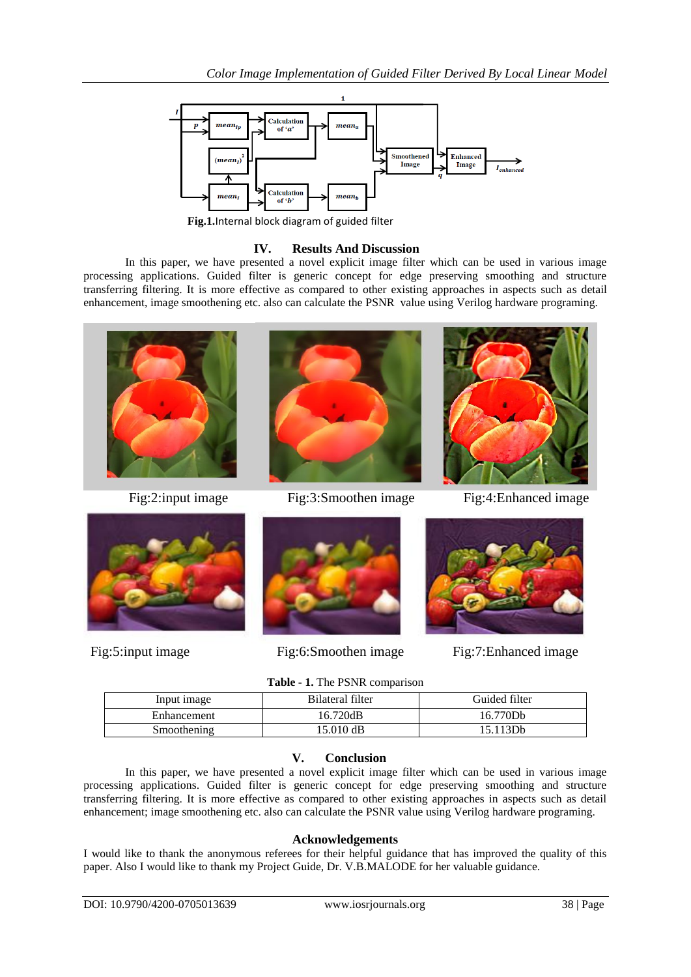

**Fig.1.**Internal block diagram of guided filter

## **IV. Results And Discussion**

In this paper, we have presented a novel explicit image filter which can be used in various image processing applications. Guided filter is generic concept for edge preserving smoothing and structure transferring filtering. It is more effective as compared to other existing approaches in aspects such as detail enhancement, image smoothening etc. also can calculate the PSNR value using Verilog hardware programing.







Fig:5:input image Fig:6:Smoothen image Fig:7:Enhanced image



**Table - 1.** The PSNR comparison

| Input image        | Bilateral filter | Guided filter |
|--------------------|------------------|---------------|
| Enhancement        | 16.720dB         | 16.770Db      |
| <b>Smoothening</b> | 15.010 dB        | 5.113Db       |

## **V. Conclusion**

In this paper, we have presented a novel explicit image filter which can be used in various image processing applications. Guided filter is generic concept for edge preserving smoothing and structure transferring filtering. It is more effective as compared to other existing approaches in aspects such as detail enhancement; image smoothening etc. also can calculate the PSNR value using Verilog hardware programing.

## **Acknowledgements**

I would like to thank the anonymous referees for their helpful guidance that has improved the quality of this paper. Also I would like to thank my Project Guide, Dr. V.B.MALODE for her valuable guidance.